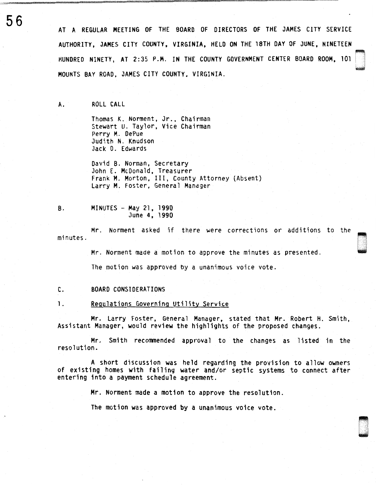AT A REGULAR MEETING OF THE BOARD OF DIRECTORS OF THE JAMES CITY SERVICE AUTHORITY, JAMES CITY COUNTY, VIRGINIA, HELD ON THE 18TH DAY OF JUNE, NINETEEN<br>HUNDRED NINETY, AT 2:35 P.M. IN THE COUNTY GOVERNMENT CENTER BOARD ROOM, 101 <sup>~</sup>MOUNTS BAY ROAD, JAMES CITY COUNTY, VIRGINIA.

A. ROLL CALL

Thomas K. Norment, Jr., Chairman Stewart U. Taylor, Vice Chairman Perry M. DePue Judith N. Knudson Jack D. Edwards

David B. Norman, Secretary John E. McDonald, Treasurer Frank M. Morton, III, County Attorney (Absent) Larry M. Foster, General Manager

B. MINUTES - May 21, 1990 June 4, 1990

minutes. Mr. Norment asked if there were corrections or additions to the

Mr. Norment made a motion to approve the minutes as presented.

The motion was approved by a unanimous voice vote.

C. BOARD CONSIDERATIONS

1. Regulations Governing Utility Service

Mr. Larry Foster, General Manager. stated that Mr. Robert H. Smith. Assistant Manager, would review the highlights of the proposed changes.

Mr. Smith recommended approval to the changes as listed in the resolution.

A short discussion was held regarding the provision to allow owners of existing homes with failing water and/or septic systems to connect after entering into a payment schedule agreement.

Mr. Norment made a motion to approve the resolution.

The motion was approved by a unanimous voice vote.

56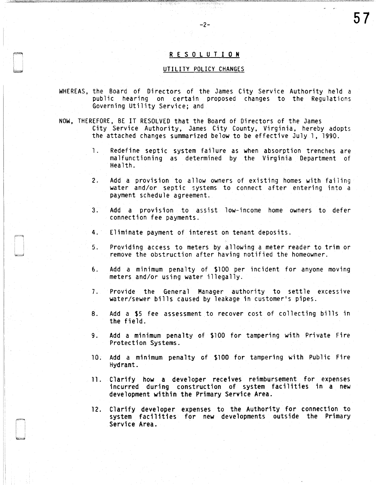# R E S 0 L U T I 0 N

-2-

# UTILITY POLICY CHANGES

- WHEREAS, the Board of Directors of the James City Service Authority held a public hearing on certain proposed changes to the Regulations Governing Utility Service; and
- NOW, THEREFORE, BE IT RESOLVED that the Board of Directors of the James City Service Authority, James City County, Virginia, hereby adopts the attached changes summarized below to be effective July 1, 1990.
	- 1. Redefine septic system failure as when absorption trenches are malfunctioning as determined by the Virginia Department of Health.
	- 2. Add a provision to allow owners of existing homes with failing water and/or septic systems to connect after entering into a payment schedule agreement.
	- 3. Add a provision to assist low-income home owners to defer connection fee payments.
	- 4. Eliminate payment of interest on tenant deposits.
	- 5. Providing access to meters by allowing a meter reader to trim or remove the obstruction after having notified the homeowner.
	- 6. Add a minimum penalty of \$100 per incident for anyone moving meters and/or using water illegally.
	- 7. Provide the General Manager authority to settle excessive water/sewer bills caused by leakage in customer's pipes.
	- 8. Add a \$5 fee assessment to recover cost of collecting bills in the field.
	- 9. Add a minimum penalty of \$100 for tampering with Private Fire Protection Systems.
	- 10. Add a minimum penalty cf \$100 for tampering with Public Fire Hydrant.
	- 11. Clarify how a developer receives reimbursement for expenses incurred during construction of system facilities in a new development within the Primary Service Area.
	- 12. Clarify developer expenses to the Authority for connection to system facilities for new developments outside the Primary Service Area.

57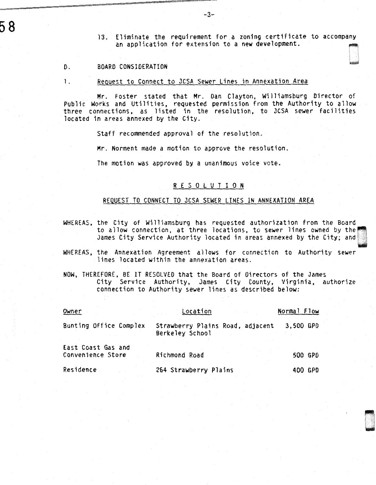58

13. Eliminate the requirement for a zoning certificate to accompany an application for extension to a new development.

D. BOARD CONSIDERATION

1. Request to Connect to JCSA Sewer Lines in Annexation Area

Mr. Foster stated that Mr. Dan Clayton, Williamsburg Director of Public Works and Utilities, requested permission from the Authority to allow three connections, as listed in the resolution, to JCSA sewer facilities located in areas annexed by the City.

Staff recommended approval of the resolution.

Mr. Norment made a motion to approve the resolution.

The motion was approved by a unanimous voice vote.

# R E S 0 l U T I 0 N

# REQUEST TO CONNECT TO JCSA SEWER LINES IN ANNEXATION AREA

- WHEREAS, the City of Williamsburg has requested authorization from the Board to allow connection, at three locations, to sewer lines owned by the James City Service Authority located in areas annexed by the City; and~
- WHEREAS, the Annexation Agreement allows for connection to Authority sewer lines located within the annexation areas.
- NOW, THEREFORE, BE IT RESOLVED that the Board of Directors of the James City Service Authority, James City County, Virginia, authorize connection to Authority sewer lines as described below:

| Owner                                   | Location                                            | Normal Flow |  |
|-----------------------------------------|-----------------------------------------------------|-------------|--|
| Bunting Office Complex                  | Strawberry Plains Road, adjacent<br>Berkeley School | 3,500 GPD   |  |
| East Coast Gas and<br>Convenience Store | Richmond Road                                       | 500 GPD     |  |
| Residence                               | 264 Strawberry Plains                               | 400 GPD     |  |

 $-3-$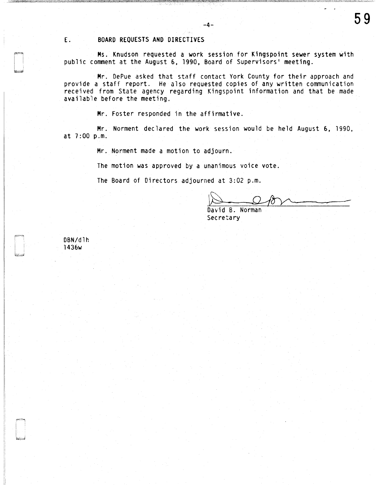## E. BOARD REQUESTS AND DIRECTIVES

Ms. Knudson requested a work session for Kingspoint sewer system with public comment at the August 6, 1990, Board of Supervisors' meeting.

-4-

Mr. DePue asked that staff contact York County for their approach and provide a staff report. He also requested copies of any written communication received from State agency regarding Kingspoint information and that be made available before the meeting.

Mr. Foster responded in the affirmative.

Mr. Norment declared the work session would be held August 6, 1990, at 7:00 p.m.

Mr. Norment made a motion to adjourn.

The motion was approved by a unanimous voice vote.

The Board of Directors adjourned at 3:02 p.m.

David B. Norman **B. Denote the B. Denote B. B. Denote** 

DBN/dlh 1436w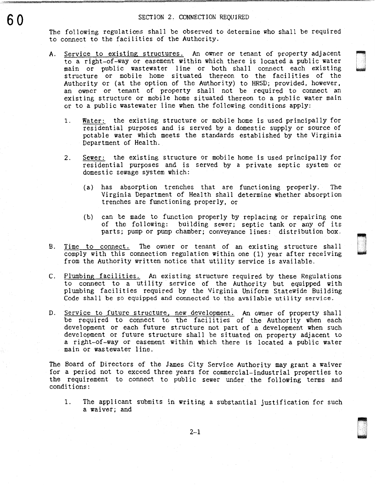The following regulations shall be observed to determine who shall be required to connect to the facilities of the Authority.

A. Service to existing structures. An owner or tenant of property adjacent to a right-of-way or easement within which there is located a public water main or public wastewater line or both shall connect each existing structure or mobile home situated thereon to the facilities of the Authority or (at the option of the Authority) to HRSD; provided, however, an owner or tenant of property shall not be required to connect an existing structure or mobile home situated thereon to a public water main or to a public wastewater line when the following conditions apply:

n 1<br>1<br>1<br>1<br>1<br>1<br>1<br>1<br>1<br>1<br>1<br>1<br>1<br>1<br>1<br>1<br>1<br>1<br>1 ~

DRASH<br>NGC 20

- 1. Water: the existing structure or mobile home is used principally for residential purposes and is served by a domestic supply or source of potable water which meets the standards established by the Virginia Department of Health.
- 2. Sewer: the existing structure or mobile home is used principally for residential purposes and is served by a private septic system or domestic sewage system which:
	- (a) has absorption trenches that are functioning properly. The Virginia Department of Health shall determine whether absorption trenches are functioning properly, or
	- (b) can be made to function properly by replacing or repairing one of the following: building sewer; septic tank or any of its parts; pump or pump chamber; conveyance lines: distribution box.
- B. Time to connect. The owner or tenant of an existing structure shall comply with this connection regulation within one (1) year after receiving from the Authority written notice that utility service is available.
- C. Plumbing facilities. An existing structure required by these Regulations to connect to a utility service of the Authority but equipped with plumbing facilities required by the Virginia Uniform Statewide Building Code shall be so equipped and connected to the available utility service.
- D. Service to future structure, new development. An owner of property shall be required to connect to the facilities of the Authority when each development or each future structure not part of a development when such development or future structure shall be situated on property adjacent to a right-of-way or easement within which there is located a public water main or wastewater line.

The Board of Directors of the James City Service Authority may grant a waiver for a period not to exceed three years for commercial-industrial properties to the requirement to connect to public sewer under the following terms and conditions:

1. The applicant submits in writing a substantial justification for such a waiver; and

2-1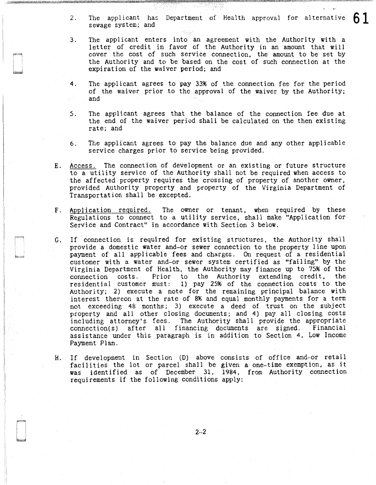- 2. The applicant has Department of Health approval for alternative  $\begin{bmatrix} 0 \end{bmatrix}$ <br>sewage system; and
- 3. The applicant enters into an agreement with the Authority with a letter of credit in favor of the Authority in an amount that will cover the cost of such service connection, the amount to be set by the Authority and to be based on the cost of such connection at the expiration of the waiver period; and
- 4. The applicant agrees to pay 33% of the connection fee for the period of the waiver prior to the approval of the waiver by the Authority; and
- 5. The applicant agrees that the balance of the connection fee due at the end of the waiver period shall be calculated on the then existing rate; and
- 6. The applicant agrees to pay the balance due and any other applicable service charges prior to service being provided.
- E. Access. The connection of development or an existing or future structure to a utility service of the Authority shall not be required when access to the affected property requires the crossing of property of another owner, provided Authority property and property of the Virginia Department of Transportation shall be excepted.
- F. Application required. The owner or tenant, when required by these Regulations to connect to a utility service, shall make "Application for Service and Contract" in accordance with Section 3 below.
- G. If connection is required for existing structures, the Authority shall provide a domestic water and-or sewer connection to the property line upon payment of all applicable fees and charges. On request of a residential customer with a water and-or sewer system certified as "failing" by the Virginia Department of Health, the Authority may finance up to 75% of the connection costs. Prior to the Authority extending credit, the residential customer must: 1) pay 25% of the connection costs to the Authority; 2) execute a note for the remaining principal balance with interest thereon at the rate of 8% and equal monthly payments for a term not exceeding 48 months; 3) execute a deed of trust on the subject property and all other closing documents; and 4) pay all closing costs including attorney's fees. The Authority shall provide the appropriate connection(s) after all financing documents are signed. Financial  $connection(s)$  after all financing documents are signed. assistance under this paragraph is in addition to Section 4, Low Income Payment Plan.
- H. If development in Section (D) above consists of office and-or retail facilities the lot or parcel shall be given a one-time exemption, as it was identified as of December 31, 1984, from Authority connection requirements if the following conditions apply:

2-2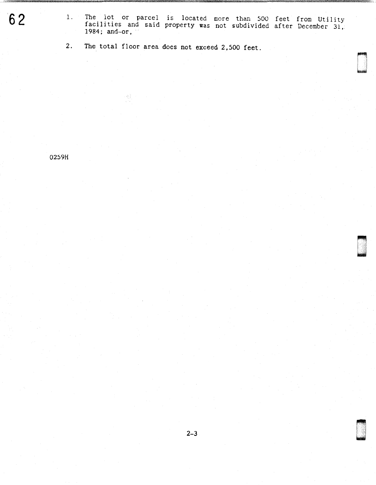62 <sup>1.</sup> The lot or parcel is located more than 500 feet from Utility facilities and said property was not subdivided after December 31. 1984; and-or,

> ~ I l u

~ w

2. The total floor area does not exceed 2,500 feet.

 $\left\langle \frac{\partial \phi}{\partial \phi} \right\rangle_{\phi}$ 

0259H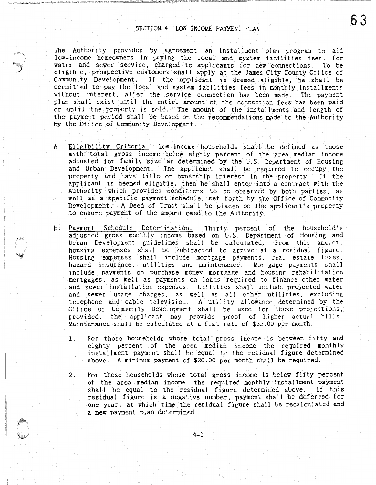The Authority provides by agreement an installment plan program to aid low-income homeowners in paying the local and system facilities fees, for water and sewer service, charged to applicants for new connections. To be eligible, prospective customers shall apply at the James City County Office of Community Development. If the applicant is deemed eligible, he shall be permitted to pay the local and system facilities fees in monthly installments without interest, after the service connection has been made. The payment plan shall exist until the entire amount of the connection fees has been paid or until the property is sold. The amount of the installments and length of the payment period shall be based on the recommendations made to the Authority by the Office of Community Development.

- A. Eligibility Criteria. Low-income households shall be defined as those with total gross income below eighty percent of the area median income adjusted for family size as determined by the U.S. Department of Housing and Urban Development. The applicant shall be required to occupy the property and have title or ownership interest in the property. If the applicant is deemed eligible, then he shall enter into a contract with the Authority which provides conditions to be observed by both parties, as well as a specific payment schedule, set forth by the Office of Community Development. A Deed of Trust shall be placed on the applicant's property to ensure payment of the amount owed to the Authority.
- B. Payment Schedule Determination. Thirty percent of the household's adjusted gross monthly income based on U.S. Department of Housing and Urban Development guidelines shall be calculated. From this amount, housing expenses shall be subtracted to arrive at a residual figure. Housing expenses shall include mortgage payments, real estate taxes. hazard insurance, utilities and maintenance. Mortgage payments shall include payments on purchase money mortgage and housing rehabilitation mortgages, as well as payments on loans required to finance other water and sewer installation expenses. Utilities shall include projected water and sewer usage charges, as well as all other utilities, excluding telephone and cable television. A utility allowance determined by the Office of Community Development shall be used for these projections,· provided, the applicant may provide proof of higher actual bills. Maintenance shall be calculated at a flat rate of \$35.00 per month.
	- 1. For those households whose total gross income is between fifty and eighty percent of the area median income the required monthly installment payment shall be equal to the residual figure determined above. A minimum payment of \$20.00 per month shall be required.
	- 2. For those households whose total gross income is below fifty percent of the area median income, the required monthly installment payment shall be equal to the residual figure determined above. If this residual figure is a negative number, payment shall be deferred for one year, at which time the residual figure shall be recalculated and a new payment plan determined.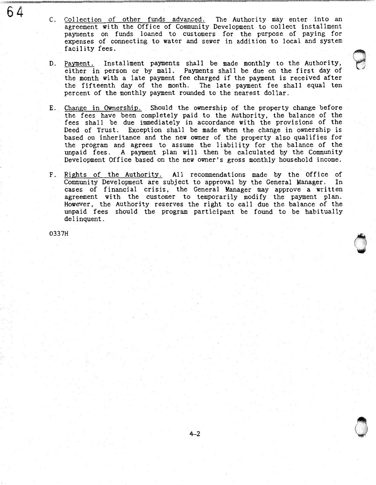- 64 C. Collection of other funds advanced. The Authority may enter into an agreement with the Office of Community Development to collect installment payments on funds loaned to customers for the purpose of paying for expenses of connecting to water and sewer in addition to local and system facility fees.
	- D. Payment. Installment payments shall be made monthly to the Authority. either in person or by mail. Payments shall be due on the first day of the month with a late payment fee charged if the payment is received after the fifteenth day of the month. The late payment fee shall equal ten percent of the monthly payment rounded to the nearest dollar.

 $\Theta$ 

' '

 $\bigcirc$ '

 $\bigcirc$ 

- E. Change in Ownership. Should the ownership of the property change before the fees have been completely paid to the Authority, the balance of the fees shall be due immediately in accordance with the provisions of the Deed of Trust. Exception shall be made when the change in ownership is based on inheritance and the new owner of the property also qualifies for the program and agrees to assume the liability for the balance of the unpaid fees. A payment plan will then be calculated by the Community Development Office based on the new owner's gross monthly household income.
- F. Rights of the Authority. All recommendations made by the Office of Community Development are subject to approval by the General Manager. In cases of financial crisis, the General Manager may approve a written agreement with the customer to temporarily modify the payment plan. However, the Authority reserves the right to call due the balance of the unpaid fees should the program participant be found to be habitually delinquent.

0337H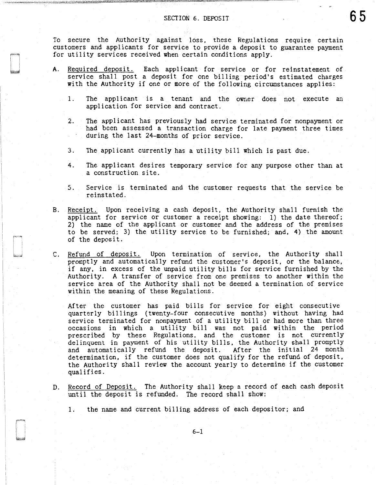To secure the Authority against loss, these Regulations require certain customers and applicants for service to provide a deposit to guarantee payment for utility services received when certain conditions apply.

- A. Required deposit. Each applicant for service or for reinstatement of service shall post a deposit for one billing period's estimated charges with the Authority if one or more of the following circumstances applies:
	- 1. The applicant is a tenant and the owner does not execute an application for service and contract.
	- 2. The applicant has previously had service terminated for nonpayment or had been assessed a transaction charge for late payment three times during the last 24-months of prior service.
	- 3. The applicant currently has a utility bill which is past due.
	- 4. The applicant desires temporary service for any purpose other than at a construction site.
	- 5. Service is terminated and the customer requests that the service be reinstated.
- B. Receipt. Upon receiving a cash deposit, the Authority shall furnish the applicant for service or customer a receipt showing: 1) the date thereof; 2) the name of the applicant or customer and the address of the premises to be served; 3) the utility service to be furnished; and, 4) the amount of the deposit.
- C. Refund of deposit. Upon termination of service, the Authority shall promptly and automatically refund the customer's deposit, or the balance, if any, in excess of the unpaid utility bills for service furnished by the Authority. A transfer of service from one premises to another within the service area of the Authority shall not be deemed a termination of service within the meaning of these Regulations.

After the customer has paid bills for service for eight consecutive quarterly billings (twenty-four consecutive months) without having had service terminated for nonpayment of a utility bill or had more than three occasions in which a utility bill was not paid within the period prescribed by these Regulations, and the customer is not currently delinquent in payment of his utility bills, the Authority shall promptly and automatically refund the deposit. After the initial 24 month determination, if the customer does not qualify for the refund of deposit, the Authority shall review the account yearly to determine if the customer qualifies.

D. Record of Deposit. The Authority shall keep a record of each cash deposit until the deposit is refunded. The record shall show:

1. the name and current billing address of each depositor; and

 $\bar{1}$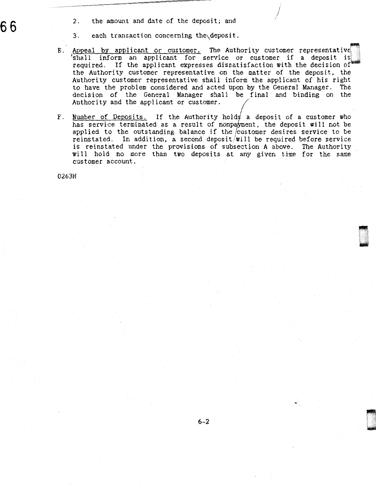2. the amount and date of the deposit; and

3. each transaction concerning the\deposit.

E. Appeal by applicant or customer. The Authority customer representative shall inform an applicant for service or customer if a deposit is required. If the applicant expresses dissatisfaction with the decision of the Authority customer representative on the matter of the deposit, the Authority customer representative shall inform the applicant of his right to have the problem considered and acted upon by the General Manager. The decision of the General Manager shall be final and binding on the Authority and the applicant or customer.

I /

F. Number of Deposits. If the Authority holds a deposit of a customer who has service terminated as a result of nonpayment, the deposit will not be applied to the outstanding balance if the /customer desires service to be reinstated. In addition, a second deposit/will be required before service is reinstated under the provisions of subsection A above. The Authority will hold no more than two deposits at any given time for the same customer account.

0263H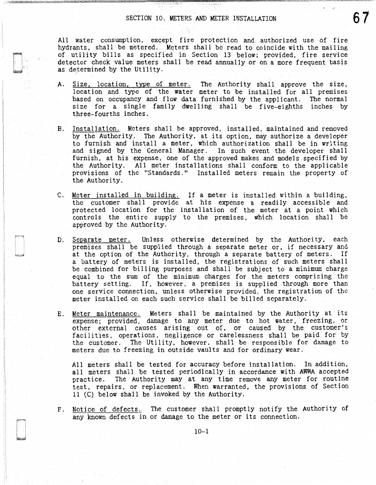All water consumption, except fire protection and authorized use of fire hydrants, shall be metered. Meters shall be read to coincide with the mailing of utility bills as specified in Section 13 below; provided, fire service detector check value meters shall be read annually or on a more frequent basis as determined by the Utility.

- A. Size, location, type of meter. The Authority shall approve the size, location and type of the water meter to be installed for all premises based on occupancy and flow data furnished by the applicant. The normal size for a single family dwelling shall be five-eighths inches by three-fourths inches.
- B. Installation. Meters shall be approved, installed, maintained and removed by the Authority. The Authority, at its option, may authorize a developer to furnish and install a meter, which authorization shall be in writing and signed by the General Manager. In such event the developer shall furnish, at his expense, one of the approved makes and models specified by the Authority. All meter installations shall conform to the applicable provisions of the "Standards." Installed meters remain the property of the Authority.
- C. Meter installed in building. If a meter is installed within a building, the customer shall provide at his expense a readily accessible and protected location for the installation of the meter at a point which controls the entire supply to the premises, which location shall be approved by the Authority.
- D. Separate meter. Unless otherwise determined by the Authority, each premises shall be supplied through a separate meter or, if necessary and at the option of the Authority, through a separate battery of meters. If a battery of meters is installed, the registrations of such meters shall be combined for billing purposes and shall be subject to a minimum charge equal to the sum of the minimum charges for the meters comprising the battery setting. If, however, a premises is supplied through more than one service connection, unless otherwise provided, the registration of the meter installed on each such service shall be billed separately.
- E. Meter maintenance. Meters shall be maintained by the Authority at its expense; provided, damage to any meter due to hot water, freezing, or other external causes arising out of, or caused by the customer's facilities, operations, negligence or carelessness shall be paid for by the customer. The Utility, however, shall be responsible for damage to meters due to freezing in outside vaults and for ordinary wear.

All meters shall be tested for accuracy before installation. In addition, all meters shall be tested periodically in accordance with AWWA accepted practice. The Authority may at any time remove any meter for routine test, repairs, or replacement. When warranted, the provisions of Section 11 (C) below shall be invoked by the Authority.

F. Notice of defects. The customer shall promptly notify the Authority of any known defects in or damage to the meter or its connection.

I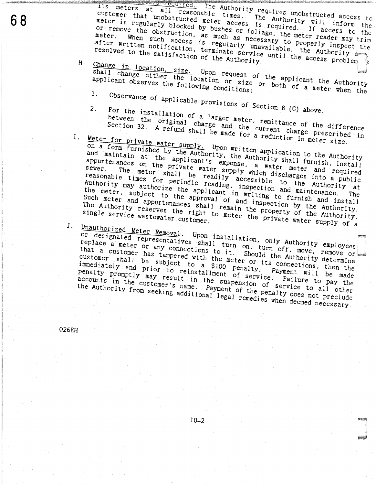its meters at all reasonable times. The Authority will inform the The Authority requires unobstructed access to customer that unobstructed meter access is required. If access to the meter is regularly blocked by bushes or foliage, the meter reader may trim or remove the obstruction, as much as necessary to properly inspect the When such access is regularly unavailable, the Authority m after written notification, terminate service until the access problem resolved to the satisfaction of the Authority.

- Change in location, size. Upon request of the applicant the Authority Н. shall change either the location or size or both of a meter when the applicant observes the following conditions:
	- 1.
	-
	- Observance of applicable provisions of Section 8 (G) above. For the installation of a larger meter, remittance of the difference 2.

between the original charge and the current charge prescribed in Section 32. A refund shall be made for a reduction in meter size.

- Meter for private water supply. Upon written application to the Authority on a form furnished by the Authority, the Authority shall furnish, install and maintain at the applicant's expense, a water meter and required appurtenances on the private water supply which discharges into a public The meter shall be readily accessible to the Authority at  $sewer$ . reasonable times for periodic reading, inspection and maintenance. Authority may authorize the applicant in writing to furnish and install the meter, subject to the approval of and inspection by the Authority. Such meter and appurtenances shall remain the property of the Authority. The Authority reserves the right to meter the private water supply of a
- $J_{\perp}$

Unauthorized Meter Removal. Upon installation, only Authority employees or designated representatives shall turn on, turn off, move, remove or replace a meter or any connections to it. Should the Authority determine that a customer has tampered with the meter or its connections, then the customer shall be subject to a \$100 penalty. Payment will be made immediately and prior to reinstallment of service. Failure to pay the penalty promptly may result in the suspension of service to all other accounts in the customer's name. Payment of the penalty does not preclude the Authority from seeking additional legal remedies when deemed necessary.

0268H

 $I_{\star}$ 

68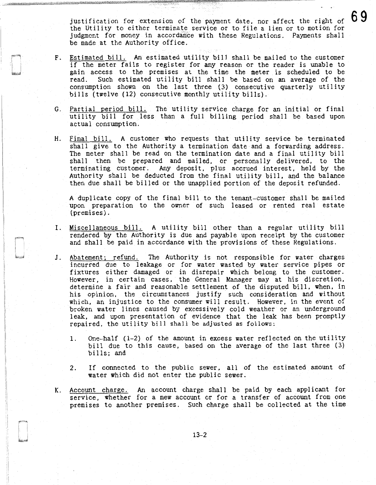justification for extension of the payment date, nor affect the right of the Utility to either terminate service or to file a lien or to motion for judgment for money in accordance with these Regulations. Payments shall be made at the Authority office.

- F. Estimated bill. An estimated utility bill shall be mailed to the customer if the meter fails to register for any reason or the reader is unable to gain access to the premises at the time the meter is scheduled to be read. Such estimated utility bill shall be based on an average of the consumption shown on the last three (3) consecutive quarterly utility bills (twelve (12) consecutive monthly utility bills).
- G. Partial period bill. The utility service charge for an initial or final utility bill for less than a full billing period shall be based upon actual consumption.
- H. Final bill. A customer who requests that utility service be terminated shall give to the Authority a termination date and a forwarding address. The meter shall be read on the termination date and a final utility bill shall then be prepared and mailed, or personally delivered, to the terminating customer. Any deposit, plus accrued interest, held by the Authority shall be deducted from the final utility bill, and the balance then due shall be billed or the unapplied portion of the deposit refunded.

A duplicate copy of the final bill to the tenant-customer shall be mailed upon preparation to the owner of such leased or rented real estate (premises).

- I. Miscellaneous bill. A utility bill other than a regular utility bill rendered by the Authority is due and payable upon receipt by the customer and shall be paid in accordance with the provisions of these Regulations.
- J. Abatement; refund. The Authority is not responsible for water charges incurred due to leakage or for water wasted by water service pipes or fixtures either damaged or in disrepair which belong to the customer. However, in certain cases, the General Manager may at his discretion, determine a fair and reasonable settlement of the disputed bill, when, in his opinion, the circumstances justify such consideration and without which, an injustice to the consumer will result. However, in the event of broken water lines caused by excessively cold weather or an underground leak, and upon presentation of evidence that the leak has been promptly repaired, the utility bill shall be adjusted as follows:
	- 1. One-half (1-2) of the amount in excess water reflected on the utility bi 11 due to this cause, based on the average of the last three (3) bills; and
	- 2. If connected to the public sewer, all of the estimated amount of water which did not enter the public sewer.
- K. Account charge. An account charge shall be paid by each applicant for service, whether for a new account or for a transfer of account from one premises to another premises. Such charge shall be collected at the time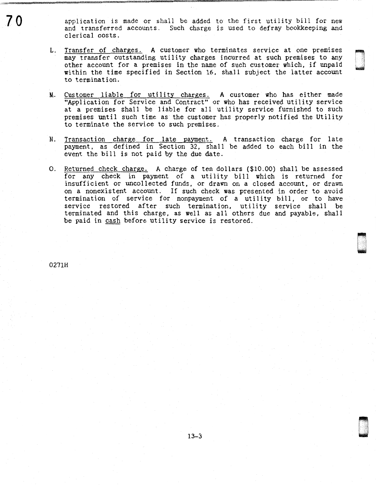application is made or shall be added to the first utility bill for new and transferred accounts. Such charge is used to defray bookkeeping and clerical costs.

, D

- L. Transfer of charges. A customer who terminates service at one premises may transfer outstanding utility charges incurred at such premises to any other account for a premises in the name of such customer which, if unpaid within the time specified in Section 16, shall subject the latter account to termination.
- M. Customer liable for utility charges. A customer who has either made "Application for Service and Contract" or who has received utility service at a premises shall be liable for all utility service furnished to such premises until such time as the customer has properly notified the Utility to terminate the service to such premises.
- N. Transaction charge for late payment. A transaction charge for late payment, as defined in Section 32, shall be added to each bill in the event the bill is not paid by the due date.
- 0. Returned check charge. A charge of ten dollars (\$10.00) shall be assessed for any check in payment of a utility bill which is returned for insufficient or uncollected funds, or drawn on a closed account, or drawn on a nonexistent account. If such check was presented in order to avoid termination of service for nonpayment of a utility bill, or to have service restored after such termination, utility service shall be terminated and this charge, as well as all others due and payable, shall be paid in cash before utility service is restored.

0271H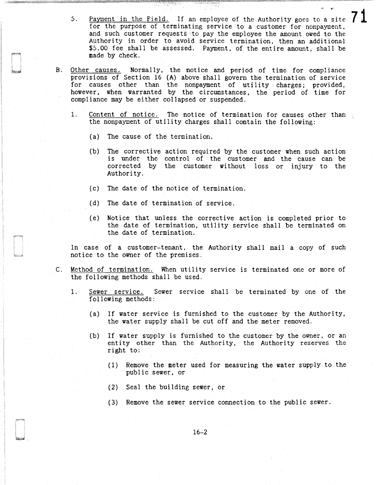- 5. Payment in the Field. If an employee of the Authority goes to a site for the purpose of terminating service to a customer for nonpayment, and such customer requests to pay the employee the amount owed to the Authority in order to avoid service termination, then an additional \$5.00 fee shall be assessed. Payment, of the entire amount, shall be made by check. 71
- B. Other causes. Normally, the notice and period of time for compliance provisions of Section 16 (A) above shall govern the termination of service for causes other than the nonpayment of utility charges; provided, however. when warranted by the circumstances, the period of time for compliance may be either collapsed or suspended.
	- 1. Content of notice. The notice of termination for causes other than the nonpayment of utility charges shall contain the following:
		- (a) The cause of the termination.
		- (b) The corrective action required by the customer when such action is under the control of the customer and the cause can be corrected by the customer without loss or injury to the Authority.
		- (c) The date of the notice of termination.
		- (d) The date of termination of service.
		- ( e) Notice that unless the corrective action is completed prior to the date of termination, utility service shall be terminated on the date of termination.

In case of a customer-tenant, the Authority shall mail a copy of such notice to the owner of the premises.

- C. Method of termination. When utility service is terminated one or more of the following methods shall be used.
	- 1. Sewer service. Sewer service shall be terminated by one of the following methods:
		- (a) If water service is furnished to the customer by the Authority, the water supply shall be cut off and the meter removed.
		- (b) If water supply is furnished to the customer by the owner, or an entity other than the Authority, the Authority reserves the right to:
			- (1) Remove the meter used for measuring the water supply to the public sewer, or
			- (2) Seal the building sewer, or
			- (3) Remove the sewer service connection to the public sewer.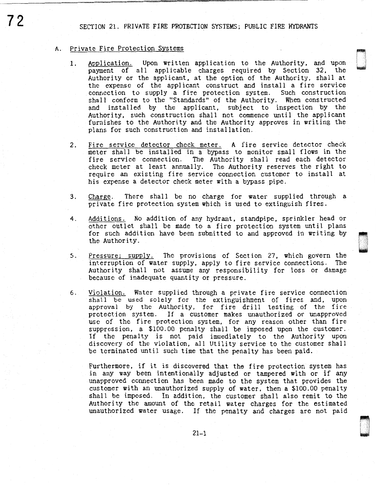SECTION 21. PRIVATE FIRE PROTECTION SYSTEMS; PUBLIC FIRE HYDRANTS

#### A. Private Fire Protection Systems

1. Application. Upon written application to the Authority, and upon payment of all applicable charges required by Section 32, the Authority or the applicant, at the option of the Authority, shall at the expense of the applicant construct and install a fire service connection to supply a fire protection system. Such construction shall conform to the "Standards" of the Authority. When constructed and installed by the applicant, subject to inspection by the Authority, such construction shall not commence until the applicant furnishes to the Authority and the Authority approves in writing the plans for such construction and installation.

~ t I I ; u

ri.·.·.~ .•... ' u

- 2. Fire service detector check meter. A fire service detector check meter shall be installed in a bypass to monitor small flows in the fire service connection. The Authority shall read each detector The Authority shall read each detector check meter at least annually. The Authority reserves the right to require an existing fire service connection customer to install at his expense a detector check meter with a bypass pipe.
- 3. Charge. There shall be no charge for water supplied through a private fire protection system which is used to extinguish fires.
- 4. Additions. No addition of any hydrant, standpipe, sprinkler head or other outlet shall be made to a fire protection system until plans for such addition have been submitted to and approved in writing by the Authority.
- 5. Pressure; supply. The provisions of Section 27, which govern the interruption of water supply, apply to fire service connections. The Authority shall not assume any responsibility for loss or damage because of inadequate quantity or pressure.
- 6. Violation. Water supplied through a private fire service connection shall be used solely for the extinguishment of fires and, upon approval by the Authority, for fire drill testing of the fire protection system. If a customer makes unauthorized or unapproved use of the fire protection system, for any reason other than fire suppression, a \$100.00 penalty shall be imposed upon the customer. If the penalty is not paid immediately to the Authority upon discovery of the violation, all Utility service to the customer shall be terminated until such time that the penalty has been paid.

Furthermore, if it is discovered that the fire protection system has in any way been intentionally adjusted or tampered with or if any unapproved connection has been made to the system that provides the customer with an unauthorized supply of water, then a \$100.00 penalty shall be imposed. In addition, the customer shall also remit to the Authority the amount of the retail water charges for the estimated unauthorized water usage. If the penalty and charges are not paid

72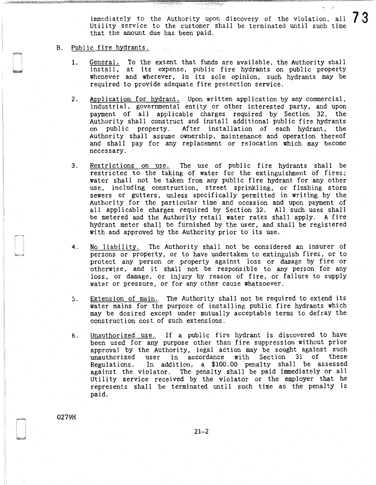immediately to the Authority upon discovery of the violation, all  $7.3$ Utility service to the customer shall be terminated until such time that the amount due has been paid.

## B. Public fire hydrants.

- 1. General. To the extent that funds are available, the Authority shall install, at its expense, public fire hydrants on public property whenever and wherever, in its sole opinion, such hydrants may be required to provide adequate fire protection service.
- 2. Application for hydrant. Upon written application by any commercial, industrial, governmental entity or other interested party, and upon payment of all applicable charges required by Section 32, the Authority shall construct and install additional public fire hydrants on public property. After installation of each hydrant, the Authority shall assume ownership, maintenance and operation thereof and shall pay for any replacement or relocation which may become necessary.
- 3. Restrictions on use. The use of public fire hydrants shall be restricted to the taking of water for the extinguishment of fires; water shall not be taken from any public fire hydrant for any other use, including construction, street sprinkling, or flushing storm sewers or gutters. unless specifically permitted in writing by the Authority for the particular time and occasion and upon payment of all applicable charges required by Section 32. All such uses shall be metered and the Authority retail water rates shall apply. A fire hydrant meter shall be furnished by the user, and shall be registered with and approved by the Authority prior to its use.
- 4. No liability. The Authority shall not be considered an insurer of persons or property, or to have undertaken to extinguish fires, or to protect any person or property against loss or damage by fire or otherwise, and it shall not be responsible to any person for any loss, or damage, or injury by reason of fire, or failure to supply water or pressure, or for any other cause whatsoever.
- 5. Extension of main. The Authority shall not be required to extend its water mains for the purpose of installing public fire hydrants which may be desired except under mutually acceptable terms to defray the construction cost of such extensions.
- 6. Unauthorized use. If a public fire hydrant is discovered to have been used for any purpose other than fire suppression without prior approval by the Authority, legal action may be sought against such<br>unauthorized user in accordance with Section 31 of these unauthorized user in accordance with Section Regulations. In addition, a \$100.00 penalty shall be assessed against the violator. The penalty shall be paid immediately or all Utility service received by the violator or the employer that he represents shall be terminated until such time as the penalty is paid.

0279H

21-2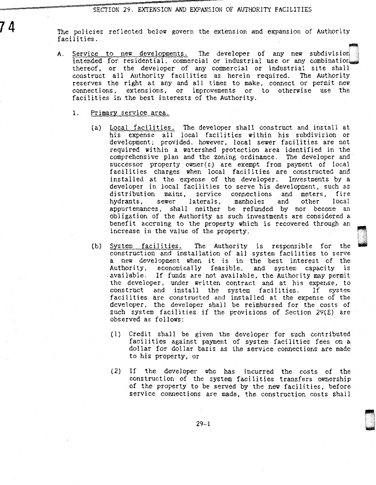SECTION 29. EXTENSION AND EXPANSION OF AUTHORITY FACILITIES

The policies reflected below govern the extension and expansion of Authority facilities.

A. Service to new developments. The developer of any new subdivision  $intended$  for residential, commercial or industrial use or any combination. thereof, or the developer of any commercial or industrial site shall construct all Authority facilities as herein required. The Authority reserves the right at any and all times to make, connect or permit new connections, extensions, or improvements or to otherwise use the facilities in the best interests of the Authority.

## 1. Primary service area.

74

- (a) Local facilities. The developer shall construct and install at his expense all local facilities within his subdivision or development; provided, however, local sewer facilities are not required within a watershed protection area identified in the comprehensive plan and the zoning ordinance. The developer and successor property owner(s) are exempt from payment of local facilities charges when local facilities are constructed and installed at the expense of the developer. Investments by a developer in local facilities to serve his development, such as distribution mains, service connections and meters. fire distribution mains, service connections and<br>hydrants, sewer laterals, manholes and laterals, manholes and other local appurtenances, shall neither be refunded by nor become an obligation of the Authority as such investments are considered a benefit accruing to the property which is recovered through an increase in the value of the property.
- (b) System facilities. The Authority is responsible for the construction and installation of all system facilities to serve a new development when it is in the best interest of the Authority, economically feasible, and system capacity is available. If funds are not available, the Authority may permit the developer, under written contract and at his expense, to construct and install the system facilities. If system facilities are constructed and installed at the expense of the developer, the developer shall be reimbursed for the costs of such system facilities if the provisions of Section 29(E) are observed as follows:
	- (1) Credit shall be given the developer for such contributed facilities against payment of system facilities fees on a dollar for dollar basis as the service connections are made to his property, or
	- (2) If the developer who has incurred the costs of the construction of the system facilities transfers ownership of the property to be served by the new facilities, before service connections are made, the construction costs shall

,.,

l. ' -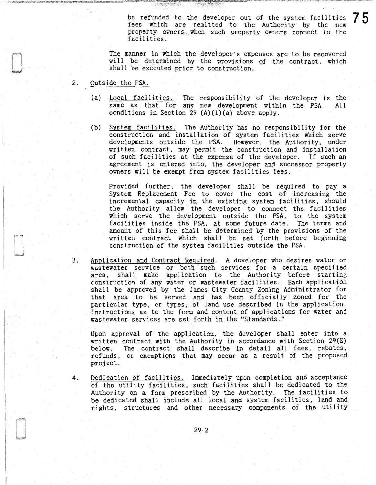be refunded to the developer out of the system facilities  $7.5$ fees which are remitted to the Authority by the new property owners when such property owners connect to the facilities.

The manner in which the developer's expenses are to be recovered will be determined by the provisions of the contract, which shall be executed prior to construction.

- 2. Outside the PSA.
	- (a) Local facilities. The responsibility of the developer is the same as that for any new development within the PSA. All conditions in Section 29  $(A)(1)(a)$  above apply.
	- (b) System facilities. The Authority has no responsibility for the construction and installation of system facilities which serve developments outside the PSA. However, the Authority, under written contract, may permit the construction and installation of such facilities at the expense of the developer. If such an agreement is entered into, the developer and successor property owners will be exempt from system facilities fees.

Provided further, the developer shall be required to pay a System Replacement Fee to cover the cost of increasing the incremental capacity in the existing system facilities, should the Authority allow the developer to connect the facilities which serve the development outside the PSA, to the system facilities inside the PSA, at some future date. The terms and amount of this fee shall be determined by the provisions of the written contract which shall be set forth before beginning construction of the system facilities outside the PSA.

3. Application and Contract Required. A developer who desires water or wastewater service or both such services for a certain specified area, shall make application to the Authority before starting construction of any water or wastewater facilities. Each application shall be approved by the James City County Zoning Administrator for that area to be served and has been officially zoned for the particular type, or types, of land use described in the application. Instructions as to the form and content of applications for water and wastewater services are set forth in the "Standards."

Upon approval of the application, the developer shall enter into a written contract with the Authority in accordance with Section 29(E) below. The contract shall describe in detail all fees, rebates, refunds, or exemptions that may occur as a result of the proposed project.

4. Dedication of facilities. Immediately upon completion and acceptance of the utility facilities, such facilities shall be dedicated to the Authority on a form prescribed by the Authority. The facilities to be dedicated shall include all local and system facilities, land and rights, structures and other necessary components of the utility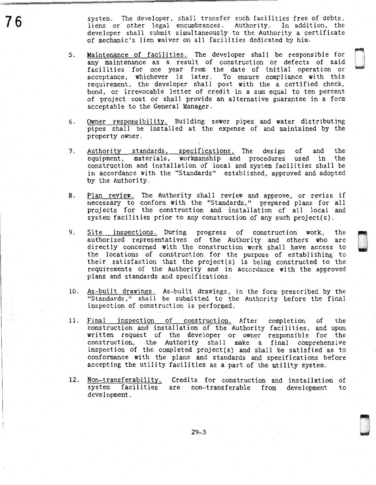system. The developer. shall transfer such facilities free of debts, liens or other legal encumbrances. Authority. In addition, the developer shall submit simultaneously to the Authority a certificate of mechanic's lien waiver on all facilities dedicated by him.

- 5. Maintenance of facilities. The developer shall be responsible for any maintenance as a result of construction or defects of said facilities for one year from the date of initial operation or acceptance, whichever is later. To ensure compliance with this requirement, the developer shall post with the a certified check, bond, or irrevocable letter of credit in a sum equal to ten percent of project cost or shall provide an alternative guarantee in a form acceptable to the General Manager.
- 6. Owner responsibility. Building sewer pipes and water distributing pipes shall be installed at the expense of and maintained by the property owner.
- 7. Authority standards, specifications. The design of and the equipment, materials, workmanship and procedures used in the construction and installation of local and system facilities shall be in accordance with the "Standards" established, approved and adopted by the Authority.
- 8. Plan review. The Authority shall review and approve, or revise if necessary to conform with the "Standards," prepared plans for all projects for the construction and installation of all local and system facilities prior to any construction of any such project(s).
- 9. Site inspections. During progress of construction work, the authorized representatives of the Authority and others who are directly concerned with the construction work shall have access to the locations of construction for the purpose of establishing to their satisfaction that the project(s) is being constructed to the requirements of the Authority and in accordance with the approved plans and standards and specifications.

u . .

- 10. As-built drawings. As-built drawings, in the form prescribed by the "Standards," shall be submitted to the Authority before the final inspection of construction is performed.
- 11. Final inspection of construction. After completion of the construction and installation of the Authority facilities, and upon written request of the developer or owner responsible for the construction, the Authority shall make a final comprehensive inspection of the completed project(s) and shall be satisfied as to conformance with the plans and standards and specifications before accepting the utility facilities as a part of the utility system.
- 12. Non-transferability. Credits for construction and installation of system facilities are non-transferable from development to development.

29-3

76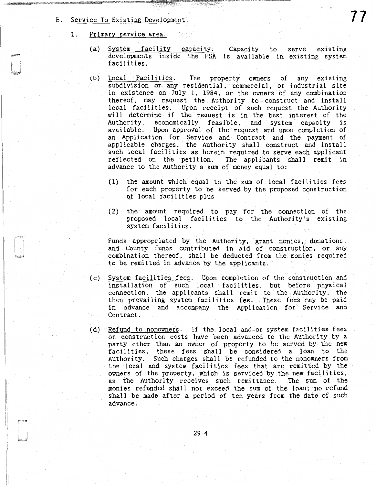- B. Service To Existing Development.
	- 1. Primary service area.
		- (a) System facility capacity. Capacity to serve existing developments inside the PSA is available in existing system facilities.

1796 B.M

- (b) Local Facilities. The property owners of any existing subdivision or any residential, commercial, or industrial site in existence on July 1, 1984, or the owners of any combination thereof, may request the Authority to construct and install local facilities. Upon receipt of such request the Authority will determine if the request is in the best interest of the Authority, economically feasible, and system capacity is available. Upon approval of the request and upon completion of an Application for Service and Contract and the payment of applicable charges, the Authority shall construct and install such local facilities as herein required to serve each applicant reflected on the petition. The applicants shall remit in advance to the Authority a sum of money equal to:
	- (1) the amount which equal to the sum of local facilities fees for each property to be served by the proposed construction of local facilities plus
	- (2) the amount required to pay for the connection of the proposed local facilities to the Authority's existing system facilities.

Funds appropriated by the Authority, grant monies, donations, and County funds contributed in aid of construction, or any combination thereof, shall be deducted from the monies required to be remitted in advance by the applicants.

- (c) System facilities fees. Upon completion of the construction and installation of such local facilities, but before physical connection, the applicants shall remit to· the Authority, the then prevailing system facilities fee. These fees may be paid in advance and accompany the Application for Service and Contract.
- (d) Refund to nonowners. If the local and-or system facilities fees or construction costs have been advanced to the Authority by a party other than an owner of property to be served by the new facilities, these fees shall be considered a loan to the Authority. Such charges shall be refunded to the nonowners from the local and system facilities fees that are remitted by the owners of the property, which is serviced by the new facilities, as the Authority receives such remittance. The sum of the monies refunded shall not exceed the sum of the loan; no refund shall be made after a period of ten years from the date of such advance.

77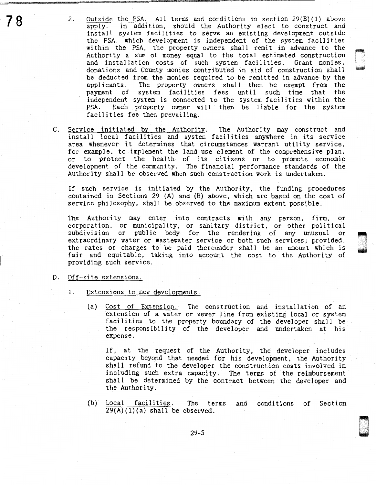2. Outside the PSA. All terms and conditions in section 29(B)(1) above<br>apply. In addition, should the Authority elect to construct and In addition, should the Authority elect to construct and install system facilities to serve an existing development outside the PSA, which development is independent of the system facilities within the PSA, the property owners shall remit in advance to the Authority a sum of money equal to the total estimated construction and installation costs of such system facilities. Grant monies, donations and County monies contributed in aid of construction shall be deducted from the monies required to be remitted in advance by the applicants. The property owners shall then be exempt from the The property owners shall then be exempt from the<br>system facilities fees until such time that the payment of system facilities fees until independent system is connected to the system facilities within the PSA. Each property owner will then be liable for the system facilities fee then prevailing.

D

C. Service initiated by the Authority. The Authority may construct and install local facilities and system facilities anywhere in its service area whenever it determines that circumstances warrant utility service, for example, to implement the land use element of the comprehensive plan, or to protect the health of its citizens or to promote economic development of the community. The financial performance standards of the Authority shall be observed when such construction work is undertaken.

If such service is initiated by the Authority, the funding procedures contained in Sections 29 (A) and (B) above, which are based on the cost of service philosophy, shall be observed to the maximum extent possible.

The Authority may enter into contracts with any person, firm, or corporation, or municipality, or sanitary district, or other political subdivision or public body for the rendering of any unusual or extraordinary water or wastewater service or both such services; provided, the rates or charges to be paid thereunder shall be an amount which is fair and equitable, taking into account the cost to the Authority of providing such service.

## D. Off-site extensions.

- 1. Extensions to new developments.
	- (a) Cost of Extension. The construction and installation of an extension of a water or sewer line from existing local or system facilities to the property boundary of the developer shall be the responsibility of the developer and undertaken at his expense.

If, at the request of the Authority, the developer includes capacity beyond that needed for his development, the Authority shall refund to the developer the construction costs involved in including such extra capacity. The terms of the reimbursement shall be determined by the contract between the developer and the Authority.

(b) Local facilities. The terms and conditions of Section  $29(A)(1)(a)$  shall be observed.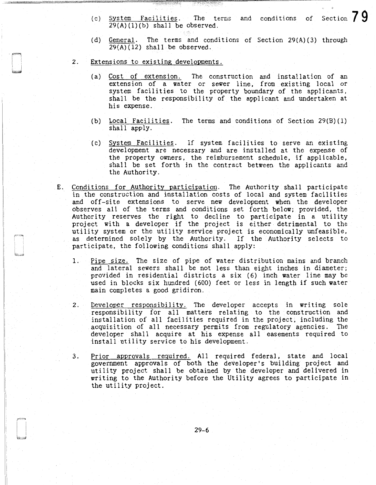- (c)  $\frac{\text{System} \text{Facilities}}{20}(1)$ . The terms and conditions of Section  $79$  $29(A)(1)(b)$  shall be observed.
- (d) General. The terms and conditions of Section 29(A)(3) through  $29(A)(12)$  shall be observed.
- 2. Extensions to existing developments.
	- (a) Cost of extension. The construction and installation of an extension of a water or sewer line, from existing local or system facilities to the property boundary of the applicants, shall be the responsibility of the applicant and undertaken at his expense.
	- (b) Local Facilities. The terms and conditions of Section 29(B)(l) shall apply.
	- (c) System Facilities. If system facilities to serve an existing development are necessary and are installed at the expense of the property owners, the reimbursement schedule, if applicable, shall be set forth in the contract between the applicants and the Authority.
- E. Conditions for Authority participation. The Authority shall participate in the construction and installation costs of local and system facilities and off-site extensions to serve new development when the developer observes all of the terms and conditions set forth below; provided, the Authority reserves the right to decline to participate in a utility project with a developer if the project is either detrimental to the utility system or the utility service project is economically unfeasible, as determined solely by the Authority. If the Authority selects to participate, the following conditions shall apply:
	- 1. Pipe size. The size of pipe of water distribution mains and branch and lateral sewers shall be not less than eight inches in diameter; provided in residential districts a six (6) inch water line may be used in blocks six hundred (600) feet or less in length if such water main completes a good gridiron.
	- 2. Developer responsibility. The developer accepts in writing sole responsibility for all matters relating to the construction and installation of all facilities required in the project, including the acquisition of all necessary permits from regulatory agencies. The developer shall acquire at his expense all easements required to install utility service to his development.
	- 3. Prior approvals reguired. All required federal, state and local government approvals of both the developer's building project and utility project shall be obtained by the developer and delivered in writing to the Authority before the Utility agrees to participate in the utility project.

29-6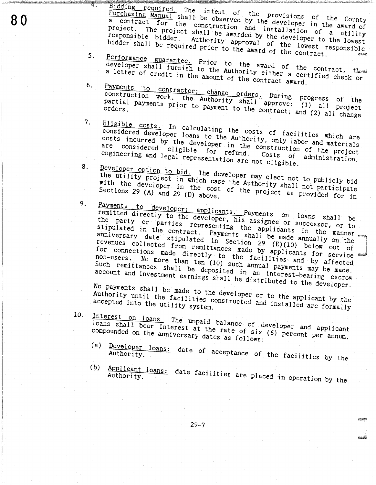Bidding required. The intent of the provisions of the County Purchasing Manual shall be observed by the developer in the award of a contract for the construction and installation of a utility project. The project shall be awarded by the developer to the lowest responsible bidder. Authority approval of the lowest responsible bidder shall be required prior to the award of the contract.

- Performance guarantee. Prior to the award of the contract, the  $5.$ developer shall furnish to the Authority either a certified check or a letter of credit in the amount of the contract award.
- Payments to contractor; change orders. During progress of the 6. construction work, the Authority shall approve: (1) all project partial payments prior to payment to the contract; and (2) all change
- Eligible costs. In calculating the costs of facilities which are  $7.$ considered developer loans to the Authority, only labor and materials costs incurred by the developer in the construction of the project are considered eligible for refund. engineering and legal representation are not eligible. Costs of administration,
- Developer option to bid. The developer may elect not to publicly bid 8. the utility project in which case the Authority shall not participate with the developer in the cost of the project as provided for in
	- Payments to developer; applicants. Payments on loans shall be<br>remitted directly to the developer, his assignee or successor, or to the party or parties representing the applicants in the manner stipulated in the contract. Payments shall be made annually on the anniversary date stipulated in Section 29 (E)(10) below out of revenues collected from remittances made by applicants for service for connections made directly to the facilities and by affected non-users. No more than ten (10) such annual payments may be made. Such remittances shall be deposited in an interest-bearing escrow account and investment earnings shall be distributed to the developer.

No payments shall be made to the developer or to the applicant by the Authority until the facilities constructed and installed are formally

 $10.$ 

9.

 $\overline{4}$  .

Interest on loans. The unpaid balance of developer and applicant loans shall bear interest at the rate of six (6) percent per annum, compounded on the anniversary dates as follows:

- Developer loans: date of acceptance of the facilities by the  $(a)$
- (b) Applicant loans: date facilities are placed in operation by the

 $29 - 7$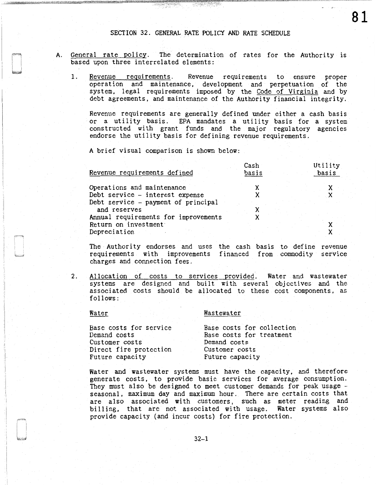- A. General rate policy. The determination of rates for the Authority is based upon three interrelated elements:
	- 1. Revenue requirements. Revenue requirements to ensure proper operation and maintenance, development and perpetuation of the system, legal requirements imposed by the Code of Virginia and by debt agreements, and maintenance of the Authority financial integrity.

Revenue requirements are generally defined under either a cash basis or a utility basis. EPA mandates a utility basis for a system constructed with grant funds and the major regulatory agencies endorse the utility basis for defining revenue requirements.

A brief visual comparison is shown below:

| Revenue requirements defined         | Cash<br>basis | Utility<br>basis |
|--------------------------------------|---------------|------------------|
| Operations and maintenance           |               |                  |
| Debt service - interest expense      |               |                  |
| Debt service - payment of principal  |               |                  |
| and reserves                         |               |                  |
| Annual requirements for improvements |               |                  |
| Return on investment                 |               |                  |
| Depreciation                         |               |                  |

The Authority endorses and uses the cash basis to define revenue requirements with improvements financed from commodity service charges and connection fees.

2. Allocation of costs to services provided. Water and wastewater systems are designed and built with several objectives and the associated costs should be al located to these cost components, as follows:

### Water

### Wastewater

| Base costs for service | Base costs for collection |
|------------------------|---------------------------|
| Demand costs           | Base costs for treatment  |
| Customer costs         | Demand costs              |
| Direct fire protection | Customer costs            |
| Future capacity        | Future capacity           |

Water and wastewater systems must have the capacity, and therefore generate costs, to provide basic services for average consumption. They must also be designed to meet customer demands for peak usage seasonal, maximum day and maximum hour. There are certain costs that are also associated with customers, such as meter reading and billing, that are not associated with usage. Water systems also provide capacity (and incur costs) for fire protection.

81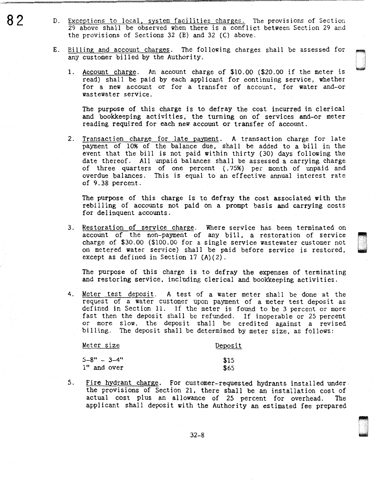- $82$  D. Exceptions to local, system facilities charges. The provisions of Section 29 above shall be observed when there is a conflict between Section 29 and the provisions of Sections 32 (B) and 32 (C) above.
	- E. Billing and account charges. The following charges shall be assessed for any customer billed by the Authority.
		- 1. Account charge. An account charge of \$10.00 (\$20.00 if the meter is read) shall be paid by each applicant for continuing service, whether for a new account or for a transfer of account, for water and-or wastewater service.

The purpose of this charge is to defray the cost incurred in clerical and bookkeeping activities, the turning on of services and-or meter reading required for each new account or transfer of account.

de de la componenta<br>De la componenta de la componenta de la componenta de la componenta de la componenta de la componenta de la c<br>De la componenta de la componenta de la componenta de la componenta de la componenta de la c

D .

2. Transaction charge for late payment. A transaction charge for late payment of 1096 of the balance due, shall be added to a bill in the event that the bill is not paid within thirty (30) days following the date thereof. All unpaid balances shall be assessed a carrying charge of three quarters of one percent (.75%) per month of unpaid and overdue balances. This is equal to an effective annual interest rate of 9.38 percent.

The purpose of this charge is to defray the cost associated with the rebilling of accounts not paid on a prompt basis and carrying costs for delinquent accounts.

3. Restoration of service charge. Where service has been terminated on account of the non-payment of any bill, a restoration of service charge of \$30.00 (\$100.00 for a single service wastewater customer not on metered water service) shall be paid before service is restored, except as defined in Section 17 (A)(2).

The purpose of this charge is to defray the expenses of terminating and restoring service, including clerical and bookkeeping activities.

4. Meter test deposit. A test of a water meter shall be done at the request of a water customer upon payment of a meter test deposit as defined in Section 11. If the meter is found to be 3 percent or more fast then the deposit shall be refunded. If inoperable or 25 percent or more slow, the deposit shall be credited against a revised billing. The deposit shall be determined by meter size, as follows:

Meter size  $5-8" - 3-4"$ 1" and over Deposit \$15 \$65

5. Fire hydrant charge. For customer-requested hydrants installed under the provisions of Section 21, there shall be an installation cost of actual cost plus an allowance of 25 percent for overhead. The applicant shall deposit with the Authority an estimated fee prepared